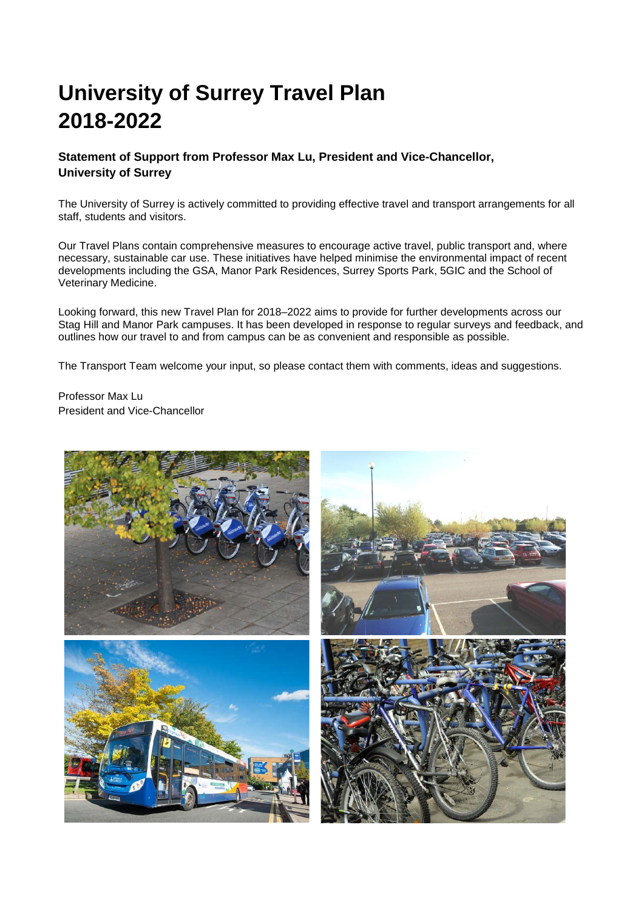# **University of Surrey Travel Plan 2018-2022**

### **Statement of Support from Professor Max Lu, President and Vice-Chancellor, University of Surrey**

The University of Surrey is actively committed to providing effective travel and transport arrangements for all staff, students and visitors.

Our Travel Plans contain comprehensive measures to encourage active travel, public transport and, where necessary, sustainable car use. These initiatives have helped minimise the environmental impact of recent developments including the GSA, Manor Park Residences, Surrey Sports Park, 5GIC and the School of Veterinary Medicine.

Looking forward, this new Travel Plan for 2018–2022 aims to provide for further developments across our Stag Hill and Manor Park campuses. It has been developed in response to regular surveys and feedback, and outlines how our travel to and from campus can be as convenient and responsible as possible.

The Transport Team welcome your input, so please contact them with comments, ideas and suggestions.

Professor Max Lu President and Vice-Chancellor

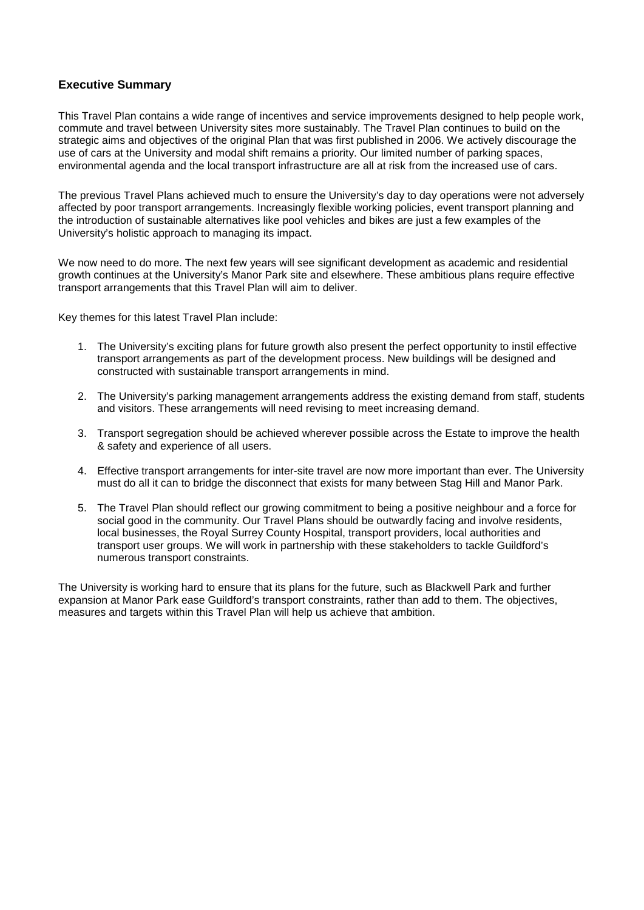#### **Executive Summary**

This Travel Plan contains a wide range of incentives and service improvements designed to help people work, commute and travel between University sites more sustainably. The Travel Plan continues to build on the strategic aims and objectives of the original Plan that was first published in 2006. We actively discourage the use of cars at the University and modal shift remains a priority. Our limited number of parking spaces, environmental agenda and the local transport infrastructure are all at risk from the increased use of cars.

The previous Travel Plans achieved much to ensure the University's day to day operations were not adversely affected by poor transport arrangements. Increasingly flexible working policies, event transport planning and the introduction of sustainable alternatives like pool vehicles and bikes are just a few examples of the University's holistic approach to managing its impact.

We now need to do more. The next few years will see significant development as academic and residential growth continues at the University's Manor Park site and elsewhere. These ambitious plans require effective transport arrangements that this Travel Plan will aim to deliver.

Key themes for this latest Travel Plan include:

- 1. The University's exciting plans for future growth also present the perfect opportunity to instil effective transport arrangements as part of the development process. New buildings will be designed and constructed with sustainable transport arrangements in mind.
- 2. The University's parking management arrangements address the existing demand from staff, students and visitors. These arrangements will need revising to meet increasing demand.
- 3. Transport segregation should be achieved wherever possible across the Estate to improve the health & safety and experience of all users.
- 4. Effective transport arrangements for inter-site travel are now more important than ever. The University must do all it can to bridge the disconnect that exists for many between Stag Hill and Manor Park.
- 5. The Travel Plan should reflect our growing commitment to being a positive neighbour and a force for social good in the community. Our Travel Plans should be outwardly facing and involve residents, local businesses, the Royal Surrey County Hospital, transport providers, local authorities and transport user groups. We will work in partnership with these stakeholders to tackle Guildford's numerous transport constraints.

The University is working hard to ensure that its plans for the future, such as Blackwell Park and further expansion at Manor Park ease Guildford's transport constraints, rather than add to them. The objectives, measures and targets within this Travel Plan will help us achieve that ambition.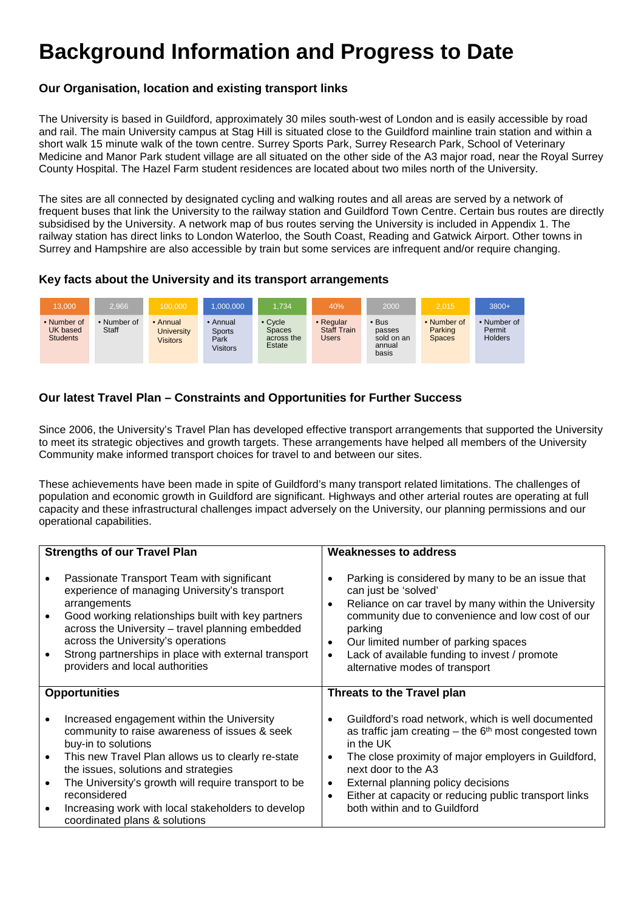# **Background Information and Progress to Date**

#### **Our Organisation, location and existing transport links**

The University is based in Guildford, approximately 30 miles south-west of London and is easily accessible by road and rail. The main University campus at Stag Hill is situated close to the Guildford mainline train station and within a short walk 15 minute walk of the town centre. Surrey Sports Park, Surrey Research Park, School of Veterinary Medicine and Manor Park student village are all situated on the other side of the A3 major road, near the Royal Surrey County Hospital. The Hazel Farm student residences are located about two miles north of the University.

The sites are all connected by designated cycling and walking routes and all areas are served by a network of frequent buses that link the University to the railway station and Guildford Town Centre. Certain bus routes are directly subsidised by the University. A network map of bus routes serving the University is included in Appendix 1. The railway station has direct links to London Waterloo, the South Coast, Reading and Gatwick Airport. Other towns in Surrey and Hampshire are also accessible by train but some services are infrequent and/or require changing.

#### **Key facts about the University and its transport arrangements**



## **Our latest Travel Plan – Constraints and Opportunities for Further Success**

Since 2006, the University's Travel Plan has developed effective transport arrangements that supported the University to meet its strategic objectives and growth targets. These arrangements have helped all members of the University Community make informed transport choices for travel to and between our sites.

These achievements have been made in spite of Guildford's many transport related limitations. The challenges of population and economic growth in Guildford are significant. Highways and other arterial routes are operating at full capacity and these infrastructural challenges impact adversely on the University, our planning permissions and our operational capabilities.

|           | <b>Strengths of our Travel Plan</b>                                                                                                                                                                                                                                                                                                                    | <b>Weaknesses to address</b>                                                                                                                                                                                                                                                                                                                                                   |  |  |  |  |  |  |  |
|-----------|--------------------------------------------------------------------------------------------------------------------------------------------------------------------------------------------------------------------------------------------------------------------------------------------------------------------------------------------------------|--------------------------------------------------------------------------------------------------------------------------------------------------------------------------------------------------------------------------------------------------------------------------------------------------------------------------------------------------------------------------------|--|--|--|--|--|--|--|
|           | Passionate Transport Team with significant<br>experience of managing University's transport<br>arrangements<br>Good working relationships built with key partners<br>across the University - travel planning embedded<br>across the University's operations<br>Strong partnerships in place with external transport<br>providers and local authorities | Parking is considered by many to be an issue that<br>can just be 'solved'<br>Reliance on car travel by many within the University<br>٠<br>community due to convenience and low cost of our<br>parking<br>Our limited number of parking spaces<br>٠<br>Lack of available funding to invest / promote<br>$\bullet$<br>alternative modes of transport                             |  |  |  |  |  |  |  |
|           | <b>Opportunities</b>                                                                                                                                                                                                                                                                                                                                   | Threats to the Travel plan                                                                                                                                                                                                                                                                                                                                                     |  |  |  |  |  |  |  |
| $\bullet$ | Increased engagement within the University<br>community to raise awareness of issues & seek<br>buy-in to solutions<br>This new Travel Plan allows us to clearly re-state<br>the issues, solutions and strategies<br>The University's growth will require transport to be<br>reconsidered<br>Increasing work with local stakeholders to develop         | Guildford's road network, which is well documented<br>$\bullet$<br>as traffic jam creating $-$ the $6th$ most congested town<br>in the UK<br>The close proximity of major employers in Guildford,<br>٠<br>next door to the A3<br>External planning policy decisions<br>٠<br>Either at capacity or reducing public transport links<br>$\bullet$<br>both within and to Guildford |  |  |  |  |  |  |  |
|           | coordinated plans & solutions                                                                                                                                                                                                                                                                                                                          |                                                                                                                                                                                                                                                                                                                                                                                |  |  |  |  |  |  |  |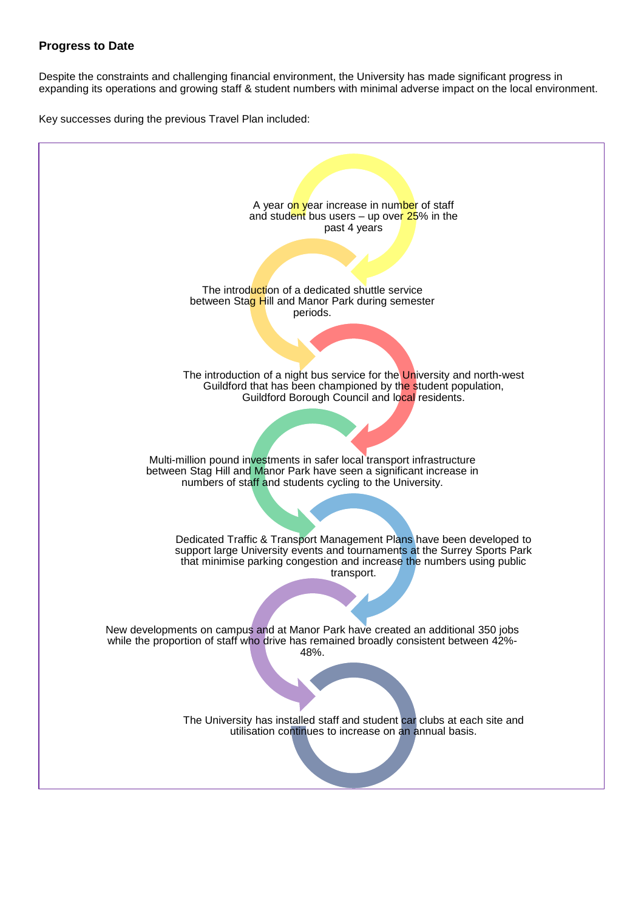#### **Progress to Date**

Despite the constraints and challenging financial environment, the University has made significant progress in expanding its operations and growing staff & student numbers with minimal adverse impact on the local environment.

Key successes during the previous Travel Plan included:

A year on year increase in number of staff and student bus users – up over  $25\%$  in the past 4 years The introduction of a dedicated shuttle service between Stag Hill and Manor Park during semester periods. The introduction of a night bus service for the University and north-west Guildford that has been championed by the student population, Guildford Borough Council and local residents. Multi-million pound investments in safer local transport infrastructure between Stag Hill and Manor Park have seen a significant increase in numbers of staff and students cycling to the University. Dedicated Traffic & Transport Management Plans have been developed to support large University events and tournaments at the Surrey Sports Park that minimise parking congestion and increase the numbers using public transport. New developments on campus and at Manor Park have created an additional 350 jobs while the proportion of staff who drive has remained broadly consistent between  $42\%$ -48%. The University has installed staff and student car clubs at each site and utilisation continues to increase on an annual basis.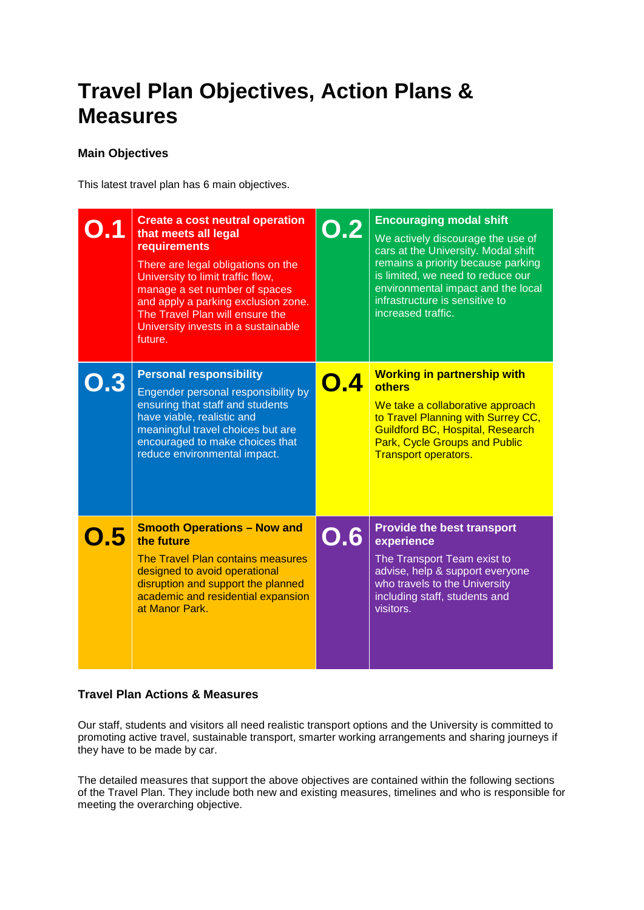# **Travel Plan Objectives, Action Plans & Measures**

#### **Main Objectives**

This latest travel plan has 6 main objectives.

| DH  | <b>Create a cost neutral operation</b><br>that meets all legal<br>requirements<br>There are legal obligations on the<br>University to limit traffic flow,<br>manage a set number of spaces<br>and apply a parking exclusion zone.<br>The Travel Plan will ensure the<br>University invests in a sustainable<br>future. | $\mathbf{O.2}$ | <b>Encouraging modal shift</b><br>We actively discourage the use of<br>cars at the University. Modal shift<br>remains a priority because parking<br>is limited, we need to reduce our<br>environmental impact and the local<br>infrastructure is sensitive to<br>increased traffic. |
|-----|------------------------------------------------------------------------------------------------------------------------------------------------------------------------------------------------------------------------------------------------------------------------------------------------------------------------|----------------|-------------------------------------------------------------------------------------------------------------------------------------------------------------------------------------------------------------------------------------------------------------------------------------|
|     | <b>Personal responsibility</b><br>Engender personal responsibility by<br>ensuring that staff and students<br>have viable, realistic and<br>meaningful travel choices but are<br>encouraged to make choices that<br>reduce environmental impact.                                                                        | O.A            | <b>Working in partnership with</b><br><b>others</b><br>We take a collaborative approach<br>to Travel Planning with Surrey CC,<br><b>Guildford BC, Hospital, Research</b><br><b>Park, Cycle Groups and Public</b><br><b>Transport operators.</b>                                     |
| 0.5 | <b>Smooth Operations - Now and</b><br>the future<br>The Travel Plan contains measures<br>designed to avoid operational<br>disruption and support the planned<br>academic and residential expansion<br>at Manor Park.                                                                                                   | O.6            | <b>Provide the best transport</b><br>experience<br>The Transport Team exist to<br>advise, help & support everyone<br>who travels to the University<br>including staff, students and<br>visitors.                                                                                    |

## **Travel Plan Actions & Measures**

Our staff, students and visitors all need realistic transport options and the University is committed to promoting active travel, sustainable transport, smarter working arrangements and sharing journeys if they have to be made by car.

The detailed measures that support the above objectives are contained within the following sections of the Travel Plan. They include both new and existing measures, timelines and who is responsible for meeting the overarching objective.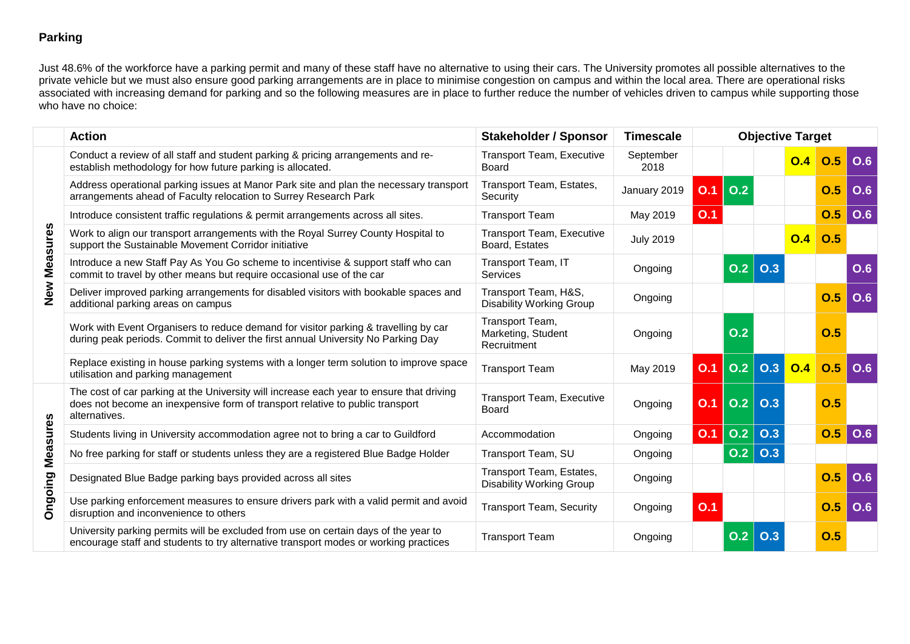## **Parking**

Just 48.6% of the workforce have a parking permit and many of these staff have no alternative to using their cars. The University promotes all possible alternatives to the private vehicle but we must also ensure good parking arrangements are in place to minimise congestion on campus and within the local area. There are operational risks associated with increasing demand for parking and so the following measures are in place to further reduce the number of vehicles driven to campus while supporting those who have no choice:

|                 | <b>Action</b>                                                                                                                                                                              | <b>Stakeholder / Sponsor</b>                                | <b>Timescale</b>  |     |                  |            | <b>Objective Target</b> |            |            |
|-----------------|--------------------------------------------------------------------------------------------------------------------------------------------------------------------------------------------|-------------------------------------------------------------|-------------------|-----|------------------|------------|-------------------------|------------|------------|
|                 | Conduct a review of all staff and student parking & pricing arrangements and re-<br>establish methodology for how future parking is allocated.                                             | <b>Transport Team, Executive</b><br><b>Board</b>            | September<br>2018 |     |                  |            | O.4                     | O.5        | O.6        |
| Measures        | Address operational parking issues at Manor Park site and plan the necessary transport<br>arrangements ahead of Faculty relocation to Surrey Research Park                                 | Transport Team, Estates,<br>Security                        | January 2019      | O.1 | O.2              |            |                         | O.5        | <b>O.6</b> |
|                 | Introduce consistent traffic regulations & permit arrangements across all sites.                                                                                                           | <b>Transport Team</b>                                       | May 2019          | O.1 |                  |            |                         | 0.5        | O.6        |
|                 | Work to align our transport arrangements with the Royal Surrey County Hospital to<br>support the Sustainable Movement Corridor initiative                                                  | <b>Transport Team, Executive</b><br>Board, Estates          | <b>July 2019</b>  |     |                  |            | 0.4                     | 0.5        |            |
|                 | Introduce a new Staff Pay As You Go scheme to incentivise & support staff who can<br>commit to travel by other means but require occasional use of the car                                 | Transport Team, IT<br>Services                              | Ongoing           |     | 0.2              | 0.3        |                         |            | O.6        |
| New<br>Z        | Deliver improved parking arrangements for disabled visitors with bookable spaces and<br>additional parking areas on campus                                                                 | Transport Team, H&S,<br><b>Disability Working Group</b>     | Ongoing           |     |                  |            |                         | 0.5        | <b>O.6</b> |
|                 | Work with Event Organisers to reduce demand for visitor parking & travelling by car<br>during peak periods. Commit to deliver the first annual University No Parking Day                   | Transport Team,<br>Marketing, Student<br>Recruitment        | Ongoing           |     | O.2              |            |                         | O.5        |            |
|                 | Replace existing in house parking systems with a longer term solution to improve space<br>utilisation and parking management                                                               | <b>Transport Team</b>                                       | May 2019          | O.1 | O.2              | O.3        | 0.4                     | 0.5        | O.6        |
|                 | The cost of car parking at the University will increase each year to ensure that driving<br>does not become an inexpensive form of transport relative to public transport<br>alternatives. | <b>Transport Team, Executive</b><br>Board                   | Ongoing           | O.1 | $ $ O.2 $ $      | O.3        |                         | O.5        |            |
|                 | Students living in University accommodation agree not to bring a car to Guildford                                                                                                          | Accommodation                                               | Ongoing           | O.1 | 0.2              | 0.3        |                         | <b>O.5</b> | O.6        |
| <b>Measures</b> | No free parking for staff or students unless they are a registered Blue Badge Holder                                                                                                       | Transport Team, SU                                          | Ongoing           |     | 0.2              | <b>O.3</b> |                         |            |            |
|                 | Designated Blue Badge parking bays provided across all sites                                                                                                                               | Transport Team, Estates,<br><b>Disability Working Group</b> | Ongoing           |     |                  |            |                         | O.5        | <b>O.6</b> |
| Ongoing         | Use parking enforcement measures to ensure drivers park with a valid permit and avoid<br>disruption and inconvenience to others                                                            | <b>Transport Team, Security</b>                             | Ongoing           | O.1 |                  |            |                         | 0.5        | O.6        |
|                 | University parking permits will be excluded from use on certain days of the year to<br>encourage staff and students to try alternative transport modes or working practices                | <b>Transport Team</b>                                       | Ongoing           |     | 0.2 <sub>2</sub> | O.3        |                         | O.5        |            |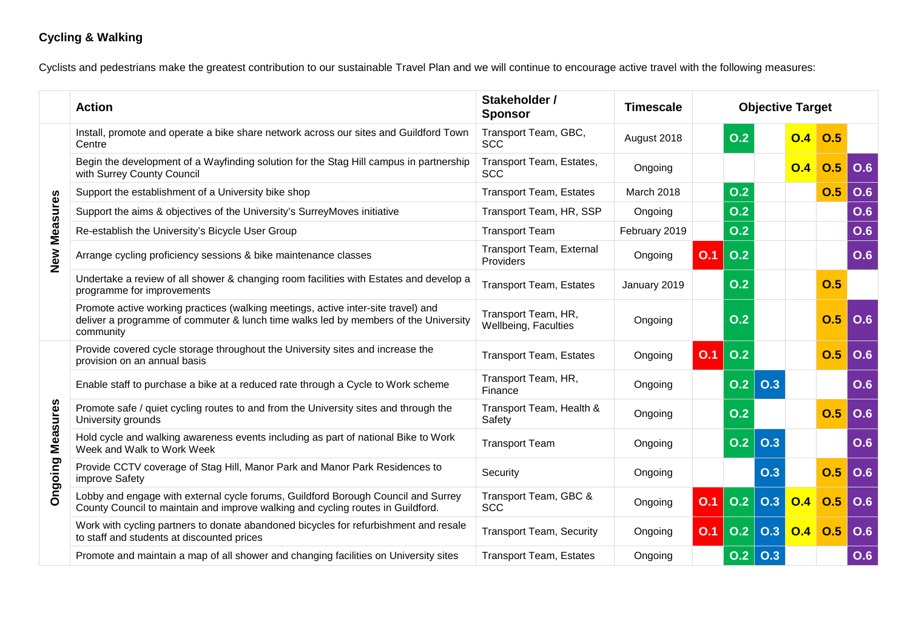## **Cycling & Walking**

Cyclists and pedestrians make the greatest contribution to our sustainable Travel Plan and we will continue to encourage active travel with the following measures:

|                         | <b>Action</b>                                                                                                                                                                         | Stakeholder /<br><b>Sponsor</b>             | <b>Timescale</b> | <b>Objective Target</b> |                  |     |     |     |            |
|-------------------------|---------------------------------------------------------------------------------------------------------------------------------------------------------------------------------------|---------------------------------------------|------------------|-------------------------|------------------|-----|-----|-----|------------|
|                         | Install, promote and operate a bike share network across our sites and Guildford Town<br>Centre                                                                                       | Transport Team, GBC,<br><b>SCC</b>          | August 2018      |                         | 0.2              |     | O.4 | O.5 |            |
|                         | Begin the development of a Wayfinding solution for the Stag Hill campus in partnership<br>with Surrey County Council                                                                  | Transport Team, Estates,<br><b>SCC</b>      | Ongoing          |                         |                  |     | 0.4 | O.5 | O.6        |
|                         | Support the establishment of a University bike shop                                                                                                                                   | <b>Transport Team, Estates</b>              | March 2018       |                         | O.2              |     |     | O.5 | O.6        |
|                         | Support the aims & objectives of the University's SurreyMoves initiative                                                                                                              | Transport Team, HR, SSP                     | Ongoing          |                         | O.2              |     |     |     | <b>O.6</b> |
|                         | Re-establish the University's Bicycle User Group                                                                                                                                      | <b>Transport Team</b>                       | February 2019    |                         | O.2              |     |     |     | <b>O.6</b> |
| <b>New Measures</b>     | Arrange cycling proficiency sessions & bike maintenance classes                                                                                                                       | Transport Team, External<br>Providers       | Ongoing          | O.1                     | O.2              |     |     |     | O.6        |
|                         | Undertake a review of all shower & changing room facilities with Estates and develop a<br>programme for improvements                                                                  | <b>Transport Team, Estates</b>              | January 2019     |                         | O.2              |     |     | 0.5 |            |
|                         | Promote active working practices (walking meetings, active inter-site travel) and<br>deliver a programme of commuter & lunch time walks led by members of the University<br>community | Transport Team, HR,<br>Wellbeing, Faculties | Ongoing          |                         | O.2              |     |     | O.5 | <b>O.6</b> |
|                         | Provide covered cycle storage throughout the University sites and increase the<br>provision on an annual basis                                                                        | <b>Transport Team, Estates</b>              | Ongoing          | O.1                     | O.2              |     |     | O.5 | O.6        |
|                         | Enable staff to purchase a bike at a reduced rate through a Cycle to Work scheme                                                                                                      | Transport Team, HR,<br>Finance              | Ongoing          |                         | $\overline{0.2}$ | O.3 |     |     | O.6        |
|                         | Promote safe / quiet cycling routes to and from the University sites and through the<br>University grounds                                                                            | Transport Team, Health &<br>Safety          | Ongoing          |                         | O.2              |     |     | O.5 | O.6        |
|                         | Hold cycle and walking awareness events including as part of national Bike to Work<br>Week and Walk to Work Week                                                                      | <b>Transport Team</b>                       | Ongoing          |                         | O.2              | O.3 |     |     | O.6        |
| <b>Ongoing Measures</b> | Provide CCTV coverage of Stag Hill, Manor Park and Manor Park Residences to<br>improve Safety                                                                                         | Security                                    | Ongoing          |                         |                  | O.3 |     | O.5 | <b>O.6</b> |
|                         | Lobby and engage with external cycle forums, Guildford Borough Council and Surrey<br>County Council to maintain and improve walking and cycling routes in Guildford.                  | Transport Team, GBC &<br><b>SCC</b>         | Ongoing          | O.1                     | O.2              | O.3 | 0.4 | O.5 | O.6        |
|                         | Work with cycling partners to donate abandoned bicycles for refurbishment and resale<br>to staff and students at discounted prices                                                    | <b>Transport Team, Security</b>             | Ongoing          | O.1                     | O.2              | O.3 | O.4 | 0.5 | O.6        |
|                         | Promote and maintain a map of all shower and changing facilities on University sites                                                                                                  | <b>Transport Team, Estates</b>              | Ongoing          |                         | 0.2              | 0.3 |     |     | <b>O.6</b> |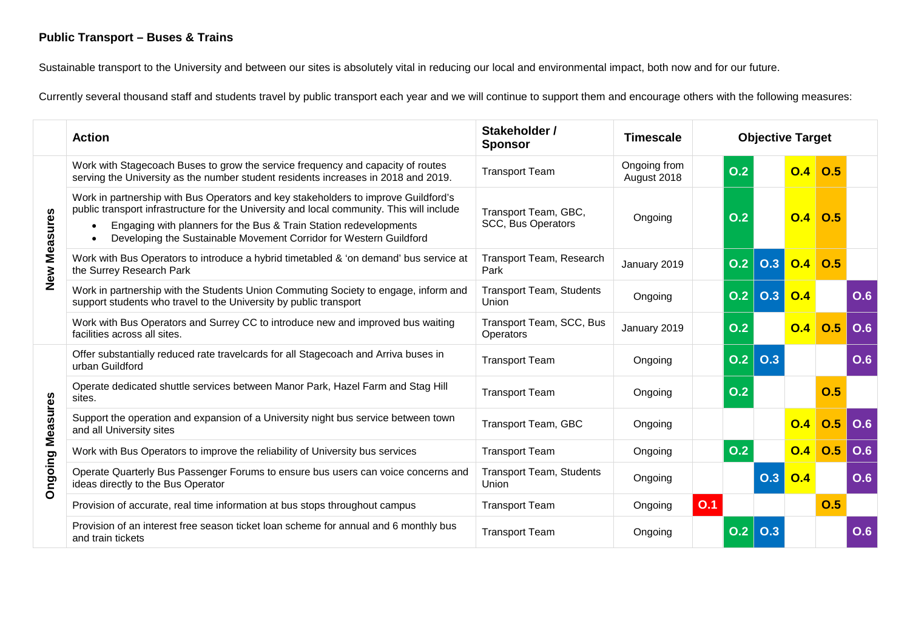## **Public Transport – Buses & Trains**

Sustainable transport to the University and between our sites is absolutely vital in reducing our local and environmental impact, both now and for our future.

Currently several thousand staff and students travel by public transport each year and we will continue to support them and encourage others with the following measures:

|                         | <b>Action</b>                                                                                                                                                                                                                                                                                                              | Stakeholder /<br><b>Sponsor</b>                   | <b>Timescale</b>            |     | <b>Objective Target</b> |            |                  |     |            |
|-------------------------|----------------------------------------------------------------------------------------------------------------------------------------------------------------------------------------------------------------------------------------------------------------------------------------------------------------------------|---------------------------------------------------|-----------------------------|-----|-------------------------|------------|------------------|-----|------------|
|                         | Work with Stagecoach Buses to grow the service frequency and capacity of routes<br>serving the University as the number student residents increases in 2018 and 2019.                                                                                                                                                      | <b>Transport Team</b>                             | Ongoing from<br>August 2018 |     | O.2                     |            | O.4              | O.5 |            |
| <b>New Measures</b>     | Work in partnership with Bus Operators and key stakeholders to improve Guildford's<br>public transport infrastructure for the University and local community. This will include<br>Engaging with planners for the Bus & Train Station redevelopments<br>Developing the Sustainable Movement Corridor for Western Guildford | Transport Team, GBC,<br><b>SCC, Bus Operators</b> | Ongoing                     |     | O.2                     |            | O.4              | O.5 |            |
|                         | Work with Bus Operators to introduce a hybrid timetabled & 'on demand' bus service at<br>the Surrey Research Park                                                                                                                                                                                                          | <b>Transport Team, Research</b><br>Park           | January 2019                |     | O.2                     | 0.3        | O.4              | 0.5 |            |
|                         | Work in partnership with the Students Union Commuting Society to engage, inform and<br>support students who travel to the University by public transport                                                                                                                                                                   | <b>Transport Team, Students</b><br>Union          | Ongoing                     |     | O.2                     | <b>O.3</b> | O.4              |     | O.6        |
|                         | Work with Bus Operators and Surrey CC to introduce new and improved bus waiting<br>facilities across all sites.                                                                                                                                                                                                            | Transport Team, SCC, Bus<br><b>Operators</b>      | January 2019                |     | O.2                     |            | O.4              | O.5 | O.6        |
|                         | Offer substantially reduced rate travelcards for all Stagecoach and Arriva buses in<br>urban Guildford                                                                                                                                                                                                                     | <b>Transport Team</b>                             | Ongoing                     |     | O.2                     | O.3        |                  |     | <b>O.6</b> |
|                         | Operate dedicated shuttle services between Manor Park, Hazel Farm and Stag Hill<br>sites.                                                                                                                                                                                                                                  | <b>Transport Team</b>                             | Ongoing                     |     | O.2                     |            |                  | 0.5 |            |
|                         | Support the operation and expansion of a University night bus service between town<br>and all University sites                                                                                                                                                                                                             | Transport Team, GBC                               | Ongoing                     |     |                         |            | O.4              | 0.5 | O.6        |
|                         | Work with Bus Operators to improve the reliability of University bus services                                                                                                                                                                                                                                              | <b>Transport Team</b>                             | Ongoing                     |     | 0.2                     |            | O.4              | 0.5 | <b>O.6</b> |
| <b>Ongoing Measures</b> | Operate Quarterly Bus Passenger Forums to ensure bus users can voice concerns and<br>ideas directly to the Bus Operator                                                                                                                                                                                                    | <b>Transport Team, Students</b><br>Union          | Ongoing                     |     |                         | O.3        | $\overline{O.4}$ |     | <b>O.6</b> |
|                         | Provision of accurate, real time information at bus stops throughout campus                                                                                                                                                                                                                                                | <b>Transport Team</b>                             | Ongoing                     | O.1 |                         |            |                  | 0.5 |            |
|                         | Provision of an interest free season ticket loan scheme for annual and 6 monthly bus<br>and train tickets                                                                                                                                                                                                                  | <b>Transport Team</b>                             | Ongoing                     |     | O.2                     | O.3        |                  |     | <b>O.6</b> |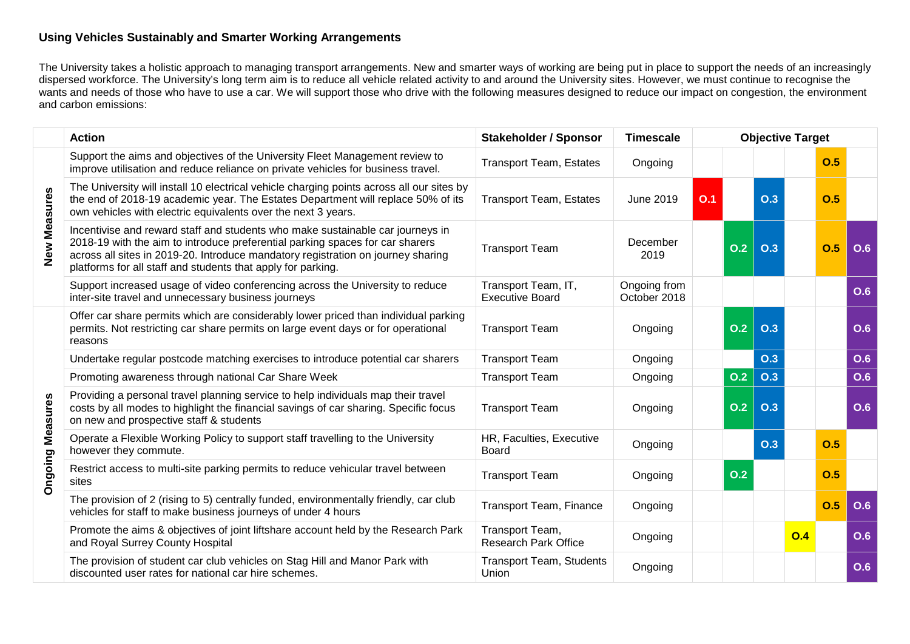#### **Using Vehicles Sustainably and Smarter Working Arrangements**

The University takes a holistic approach to managing transport arrangements. New and smarter ways of working are being put in place to support the needs of an increasingly dispersed workforce. The University's long term aim is to reduce all vehicle related activity to and around the University sites. However, we must continue to recognise the wants and needs of those who have to use a car. We will support those who drive with the following measures designed to reduce our impact on congestion, the environment and carbon emissions:

|                         | <b>Action</b>                                                                                                                                                                                                                                                                                                       | <b>Stakeholder / Sponsor</b>                   | <b>Timescale</b>             | <b>Objective Target</b> |     |     |     |     |     |
|-------------------------|---------------------------------------------------------------------------------------------------------------------------------------------------------------------------------------------------------------------------------------------------------------------------------------------------------------------|------------------------------------------------|------------------------------|-------------------------|-----|-----|-----|-----|-----|
|                         | Support the aims and objectives of the University Fleet Management review to<br>improve utilisation and reduce reliance on private vehicles for business travel.                                                                                                                                                    | <b>Transport Team, Estates</b>                 | Ongoing                      |                         |     |     |     | O.5 |     |
|                         | The University will install 10 electrical vehicle charging points across all our sites by<br>the end of 2018-19 academic year. The Estates Department will replace 50% of its<br>own vehicles with electric equivalents over the next 3 years.                                                                      | <b>Transport Team, Estates</b>                 | <b>June 2019</b>             | 0.1                     |     | O.3 |     | O.5 |     |
| <b>New Measures</b>     | Incentivise and reward staff and students who make sustainable car journeys in<br>2018-19 with the aim to introduce preferential parking spaces for car sharers<br>across all sites in 2019-20. Introduce mandatory registration on journey sharing<br>platforms for all staff and students that apply for parking. | <b>Transport Team</b>                          | December<br>2019             |                         | O.2 | O.3 |     | O.5 | O.6 |
|                         | Support increased usage of video conferencing across the University to reduce<br>inter-site travel and unnecessary business journeys                                                                                                                                                                                | Transport Team, IT,<br><b>Executive Board</b>  | Ongoing from<br>October 2018 |                         |     |     |     |     | O.6 |
|                         | Offer car share permits which are considerably lower priced than individual parking<br>permits. Not restricting car share permits on large event days or for operational<br>reasons                                                                                                                                 | <b>Transport Team</b>                          | Ongoing                      |                         | O.2 | O.3 |     |     | O.6 |
|                         | Undertake regular postcode matching exercises to introduce potential car sharers                                                                                                                                                                                                                                    | <b>Transport Team</b>                          | Ongoing                      |                         |     | O.3 |     |     | O.6 |
|                         | Promoting awareness through national Car Share Week                                                                                                                                                                                                                                                                 | <b>Transport Team</b>                          | Ongoing                      |                         | O.2 | O.3 |     |     | O.6 |
| <b>Ongoing Measures</b> | Providing a personal travel planning service to help individuals map their travel<br>costs by all modes to highlight the financial savings of car sharing. Specific focus<br>on new and prospective staff & students                                                                                                | <b>Transport Team</b>                          | Ongoing                      |                         | O.2 | O.3 |     |     | O.6 |
|                         | Operate a Flexible Working Policy to support staff travelling to the University<br>however they commute.                                                                                                                                                                                                            | HR, Faculties, Executive<br><b>Board</b>       | Ongoing                      |                         |     | O.3 |     | O.5 |     |
|                         | Restrict access to multi-site parking permits to reduce vehicular travel between<br>sites                                                                                                                                                                                                                           | <b>Transport Team</b>                          | Ongoing                      |                         | O.2 |     |     | O.5 |     |
|                         | The provision of 2 (rising to 5) centrally funded, environmentally friendly, car club<br>vehicles for staff to make business journeys of under 4 hours                                                                                                                                                              | Transport Team, Finance                        | Ongoing                      |                         |     |     |     | O.5 | O.6 |
|                         | Promote the aims & objectives of joint liftshare account held by the Research Park<br>and Royal Surrey County Hospital                                                                                                                                                                                              | Transport Team,<br><b>Research Park Office</b> | Ongoing                      |                         |     |     | O.4 |     | O.6 |
|                         | The provision of student car club vehicles on Stag Hill and Manor Park with<br>discounted user rates for national car hire schemes.                                                                                                                                                                                 | <b>Transport Team, Students</b><br>Union       | Ongoing                      |                         |     |     |     |     | O.6 |